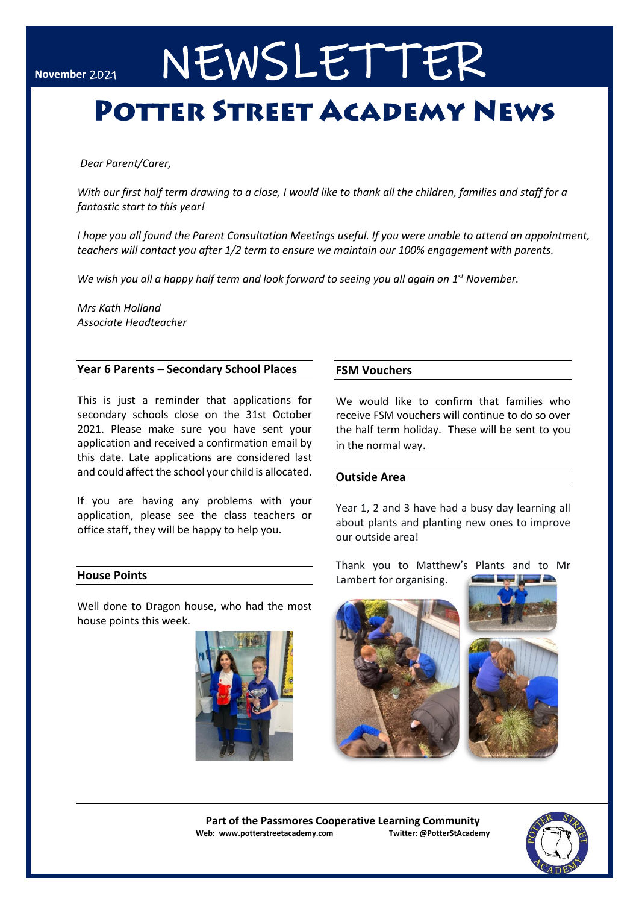# NEWSLETTER

## **POTTER STREET ACADEMY NEWS**

*Dear Parent/Carer,* 

*With our first half term drawing to a close, I would like to thank all the children, families and staff for a fantastic start to this year!*

*I hope you all found the Parent Consultation Meetings useful. If you were unable to attend an appointment, teachers will contact you after 1/2 term to ensure we maintain our 100% engagement with parents.*

We wish you all a happy half term and look forward to seeing you all again on 1<sup>st</sup> November.

*Mrs Kath Holland Associate Headteacher*

#### **Year 6 Parents – Secondary School Places**

This is just a reminder that applications for secondary schools close on the 31st October 2021. Please make sure you have sent your application and received a confirmation email by this date. Late applications are considered last and could affect the school your child is allocated.

If you are having any problems with your application, please see the class teachers or office staff, they will be happy to help you.

#### **House Points**

Well done to Dragon house, who had the most house points this week.



#### **FSM Vouchers**

We would like to confirm that families who receive FSM vouchers will continue to do so over the half term holiday. These will be sent to you in the normal way.

#### **Outside Area**

Year 1, 2 and 3 have had a busy day learning all about plants and planting new ones to improve our outside area!

Thank you to Matthew's Plants and to Mr Lambert for organising.



**Part of the Passmores Cooperative Learning Community Web: www.potterstreetacademy.com Twitter: @PotterStAcademy**